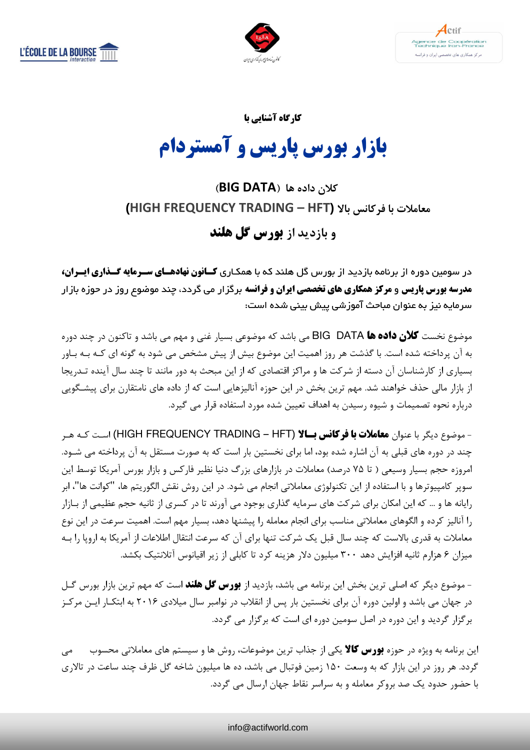





کارگاه آشنایی یا

# بازار بورس یاریس و آمستردام

# کلان داده ها (BIG DATA) معاملات یا فرکانس بالا (HIGH FREQUENCY TRADING – HFT)

و بازدید از **بورس گل هلند** 

در سومین دوره از برنامه بازدید از بورس گل هلند که با همکاری **کـانون نهادهـای سـرمایه** *گـ***ذاری ایـران، مدرسه بورس پاریس و مرکز همکاری های تخصصی ایران و فرانسه** برگزار می گردد، چند موضوع روز در حوزه بازار سرمایه نیز به عنوان مباحث آموزشی پیش بینی شده است:

موضوع نخست گلان داده ها BIG DATA می باشد که موضوعی بسیار غنی و مهم می باشد و تاکنون در چند دوره به آن پرداخته شده است. با گذشت هر روز اهمیت این موضوع بیش از پیش مشخص می شود به گونه ای کـه بـه بـاور بسیاری از کارشناسان آن دسته از شرکت ها و مراکز اقتصادی که از این مبحث به دور مانند تا چند سال آینده تـد, یجا از بازار مالی حذف خواهند شد. مهم ترین بخش در این حوزه آنالیزهایی است که از داده های نامتقارن برای پیشگویی درباره نحوه تصمیمات و شیوه رسیدن به اهداف تعیین شده مورد استفاده قرار می گیرد.

- موضوع دیگر با عنوان **معاملات با فرکانس بسالا (HIGH FREQUENCY TRADING – HFT) است کـه هـر** چند در دوره های قبلی به آن اشاره شده بود، اما برای نخستین بار است که به صورت مستقل به آن پرداخته می شـود. امروزه حجم بسیار وسیعی ( تا ۷۵ درصد) معاملات در بازارهای بزرگ دنیا نظیر فارکس و بازار بورس آمریکا توسط این سوپر کامپیوترها و با استفاده از این تکنولوژی معاملاتی انجام می شود. در این روش نقش الگوریتم ها، "کوانت ها"، ابر رایانه ها و … که این امکان برای شرکت های سرمایه گذاری بوجود می آورند تا در کسری از ثانیه حجم عظیمی از بـازار را آنالیز کرده و الگوهای معاملاتی مناسب برای انجام معامله را پیشنها دهد، بسیار مهم است. اهمیت سرعت در این نوع معاملات به قدری بالاست که چند سال قبل یک شرکت تنها برای آن که سرعت انتقال اطلاعات از آمریکا به اروپا را بـه میزان ۶ هزارم ثانیه افزایش دهد ۳۰۰ میلیون دلار هزینه کرد تا کابلی از زیر اقیانوس آتلانتیک بکشد.

- موضوع دیگر که اصلی ترین بخش این برنامه می باشد، بازدید از **بورس گل هلند** است که مهم ترین بازار بورس گــل در جهان می باشد و اولین دوره آن برای نخستین بار پس از انقلاب در نوامبر سال میلادی ۲۰۱۶ به ابتکـار ایــن مرکــز برگزار گردید و این دوره در اصل سومین دوره ای است که برگزار می گردد.

این برنامه به ویژه در حوزه **بورس کالا** یکی از جذاب ترین موضوعات، روش ها و سیستم های معاملاتی محسوب می می گردد. هر روز در این بازار که به وسعت ۱۵۰ زمین فوتبال می باشد، ده ها میلیون شاخه گل ظرف چند ساعت در تالاری با حضور حدود یک صد بروکر معامله و به سراسر نقاط جهان ارسال می گردد.